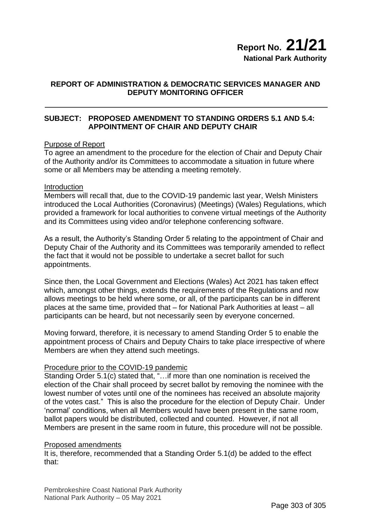## **REPORT OF ADMINISTRATION & DEMOCRATIC SERVICES MANAGER AND DEPUTY MONITORING OFFICER**

# **SUBJECT: PROPOSED AMENDMENT TO STANDING ORDERS 5.1 AND 5.4: APPOINTMENT OF CHAIR AND DEPUTY CHAIR**

### Purpose of Report

To agree an amendment to the procedure for the election of Chair and Deputy Chair of the Authority and/or its Committees to accommodate a situation in future where some or all Members may be attending a meeting remotely.

#### Introduction

Members will recall that, due to the COVID-19 pandemic last year, Welsh Ministers introduced the Local Authorities (Coronavirus) (Meetings) (Wales) Regulations, which provided a framework for local authorities to convene virtual meetings of the Authority and its Committees using video and/or telephone conferencing software.

As a result, the Authority's Standing Order 5 relating to the appointment of Chair and Deputy Chair of the Authority and its Committees was temporarily amended to reflect the fact that it would not be possible to undertake a secret ballot for such appointments.

Since then, the Local Government and Elections (Wales) Act 2021 has taken effect which, amongst other things, extends the requirements of the Regulations and now allows meetings to be held where some, or all, of the participants can be in different places at the same time, provided that – for National Park Authorities at least – all participants can be heard, but not necessarily seen by everyone concerned.

Moving forward, therefore, it is necessary to amend Standing Order 5 to enable the appointment process of Chairs and Deputy Chairs to take place irrespective of where Members are when they attend such meetings.

#### Procedure prior to the COVID-19 pandemic

Standing Order 5.1(c) stated that, "…if more than one nomination is received the election of the Chair shall proceed by secret ballot by removing the nominee with the lowest number of votes until one of the nominees has received an absolute majority of the votes cast." This is also the procedure for the election of Deputy Chair. Under 'normal' conditions, when all Members would have been present in the same room, ballot papers would be distributed, collected and counted. However, if not all Members are present in the same room in future, this procedure will not be possible.

#### Proposed amendments

It is, therefore, recommended that a Standing Order 5.1(d) be added to the effect that: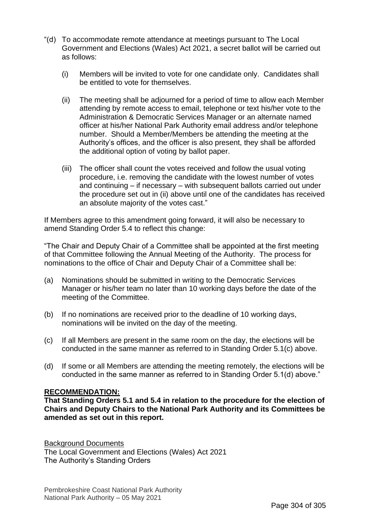- "(d) To accommodate remote attendance at meetings pursuant to The Local Government and Elections (Wales) Act 2021, a secret ballot will be carried out as follows:
	- (i) Members will be invited to vote for one candidate only. Candidates shall be entitled to vote for themselves.
	- (ii) The meeting shall be adjourned for a period of time to allow each Member attending by remote access to email, telephone or text his/her vote to the Administration & Democratic Services Manager or an alternate named officer at his/her National Park Authority email address and/or telephone number. Should a Member/Members be attending the meeting at the Authority's offices, and the officer is also present, they shall be afforded the additional option of voting by ballot paper.
	- (iii) The officer shall count the votes received and follow the usual voting procedure, i.e. removing the candidate with the lowest number of votes and continuing – if necessary – with subsequent ballots carried out under the procedure set out in (ii) above until one of the candidates has received an absolute majority of the votes cast."

If Members agree to this amendment going forward, it will also be necessary to amend Standing Order 5.4 to reflect this change:

"The Chair and Deputy Chair of a Committee shall be appointed at the first meeting of that Committee following the Annual Meeting of the Authority. The process for nominations to the office of Chair and Deputy Chair of a Committee shall be:

- (a) Nominations should be submitted in writing to the Democratic Services Manager or his/her team no later than 10 working days before the date of the meeting of the Committee.
- (b) If no nominations are received prior to the deadline of 10 working days, nominations will be invited on the day of the meeting.
- (c) If all Members are present in the same room on the day, the elections will be conducted in the same manner as referred to in Standing Order 5.1(c) above.
- (d) If some or all Members are attending the meeting remotely, the elections will be conducted in the same manner as referred to in Standing Order 5.1(d) above."

#### **RECOMMENDATION:**

**That Standing Orders 5.1 and 5.4 in relation to the procedure for the election of Chairs and Deputy Chairs to the National Park Authority and its Committees be amended as set out in this report.**

Background Documents The Local Government and Elections (Wales) Act 2021 The Authority's Standing Orders